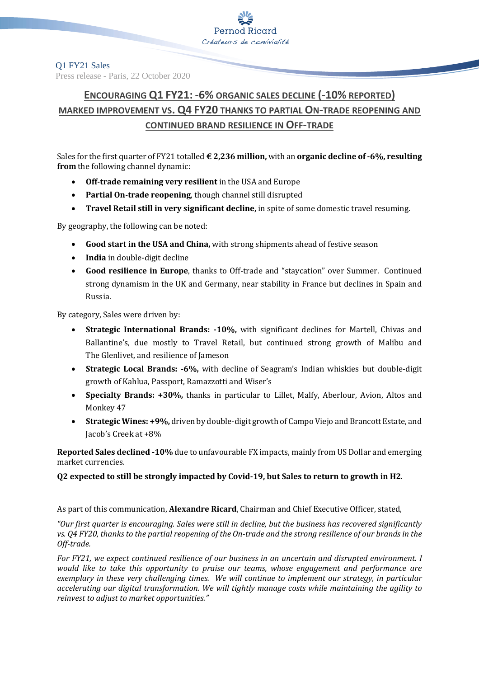#### Q1 FY21 Sales Press release - Paris, 22 October 2020

# **ENCOURAGING Q1 FY21: -6% ORGANIC SALES DECLINE (-10% REPORTED) MARKED IMPROVEMENT VS. Q4 FY20 THANKS TO PARTIAL ON-TRADE REOPENING AND CONTINUED BRAND RESILIENCE IN OFF-TRADE**

Sales for the first quarter of FY21 totalled **€ 2,236 million,** with an **organic decline of -6%, resulting from** the following channel dynamic:

- **Off-trade remaining very resilient** in the USA and Europe
- **Partial On-trade reopening**, though channel still disrupted
- **Travel Retail still in very significant decline,** in spite of some domestic travel resuming.

By geography, the following can be noted:

- **Good start in the USA and China,** with strong shipments ahead of festive season
- **India** in double-digit decline
- **Good resilience in Europe**, thanks to Off-trade and "staycation" over Summer. Continued strong dynamism in the UK and Germany, near stability in France but declines in Spain and Russia.

By category, Sales were driven by:

- **Strategic International Brands: -10%,** with significant declines for Martell, Chivas and Ballantine's, due mostly to Travel Retail, but continued strong growth of Malibu and The Glenlivet, and resilience of Jameson
- **Strategic Local Brands: -6%,** with decline of Seagram's Indian whiskies but double-digit growth of Kahlua, Passport, Ramazzotti and Wiser's
- **Specialty Brands: +30%,** thanks in particular to Lillet, Malfy, Aberlour, Avion, Altos and Monkey 47
- **Strategic Wines: +9%,** driven by double-digit growth of Campo Viejo and Brancott Estate, and Jacob's Creek at +8%

**Reported Sales declined -10%** due to unfavourable FX impacts, mainly from US Dollar and emerging market currencies.

## **Q2 expected to still be strongly impacted by Covid-19, but Sales to return to growth in H2**.

As part of this communication, **Alexandre Ricard**, Chairman and Chief Executive Officer, stated,

*"Our first quarter is encouraging. Sales were still in decline, but the business has recovered significantly vs. Q4 FY20, thanks to the partial reopening of the On-trade and the strong resilience of our brands in the Off-trade.*

*For FY21, we expect continued resilience of our business in an uncertain and disrupted environment. I would like to take this opportunity to praise our teams, whose engagement and performance are exemplary in these very challenging times. We will continue to implement our strategy, in particular accelerating our digital transformation. We will tightly manage costs while maintaining the agility to reinvest to adjust to market opportunities."*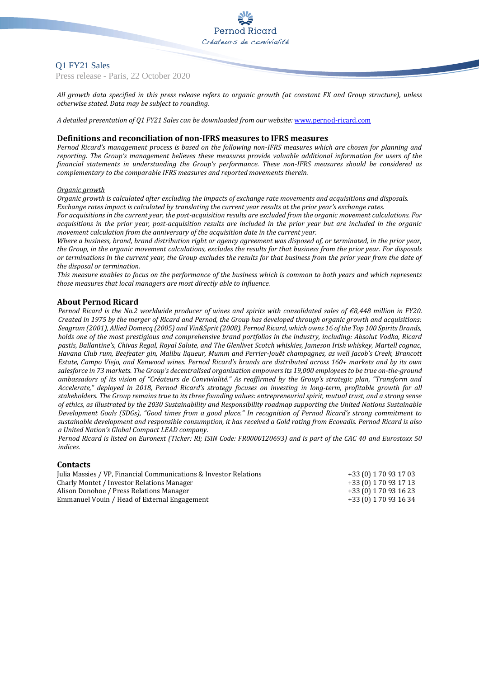### Q1 FY21 Sales

Press release - Paris, 22 October 2020

*All growth data specified in this press release refers to organic growth (at constant FX and Group structure), unless otherwise stated. Data may be subject to rounding.*

*A detailed presentation of Q1 FY21 Sales can be downloaded from our website:* [www.pernod-ricard.com](http://www.pernod-ricard.com/)

#### **Definitions and reconciliation of non-IFRS measures to IFRS measures**

*Pernod Ricard's management process is based on the following non-IFRS measures which are chosen for planning and reporting. The Group's management believes these measures provide valuable additional information for users of the financial statements in understanding the Group's performance. These non-IFRS measures should be considered as complementary to the comparable IFRS measures and reported movements therein.*

#### *Organic growth*

*Organic growth is calculated after excluding the impacts of exchange rate movements and acquisitions and disposals. Exchange rates impact is calculated by translating the current year results at the prior year's exchange rates.*

*For acquisitions in the current year, the post-acquisition results are excluded from the organic movement calculations. For acquisitions in the prior year, post-acquisition results are included in the prior year but are included in the organic movement calculation from the anniversary of the acquisition date in the current year.*

*Where a business, brand, brand distribution right or agency agreement was disposed of, or terminated, in the prior year, the Group, in the organic movement calculations, excludes the results for that business from the prior year. For disposals or terminations in the current year, the Group excludes the results for that business from the prior year from the date of the disposal or termination.*

*This measure enables to focus on the performance of the business which is common to both years and which represents those measures that local managers are most directly able to influence.*

#### **About Pernod Ricard**

*Pernod Ricard is the No.2 worldwide producer of wines and spirits with consolidated sales of €8,448 million in FY20. Created in 1975 by the merger of Ricard and Pernod, the Group has developed through organic growth and acquisitions: Seagram (2001), Allied Domecq (2005) and Vin&Sprit (2008). Pernod Ricard, which owns 16 of the Top 100 Spirits Brands, holds one of the most prestigious and comprehensive brand portfolios in the industry, including: Absolut Vodka, Ricard pastis, Ballantine's, Chivas Regal, Royal Salute, and The Glenlivet Scotch whiskies, Jameson Irish whiskey, Martell cognac, Havana Club rum, Beefeater gin, Malibu liqueur, Mumm and Perrier-Jouët champagnes, as well Jacob's Creek, Brancott Estate, Campo Viejo, and Kenwood wines. Pernod Ricard's brands are distributed across 160+ markets and by its own salesforce in 73 markets. The Group's decentralised organisation empowers its 19,000 employees to be true on-the-ground ambassadors of its vision of "Créateurs de Convivialité." As reaffirmed by the Group's strategic plan, "Transform and Accelerate," deployed in 2018, Pernod Ricard's strategy focuses on investing in long-term, profitable growth for all stakeholders. The Group remains true to its three founding values: entrepreneurial spirit, mutual trust, and a strong sense of ethics, as illustrated by the 2030 Sustainability and Responsibility roadmap supporting the United Nations Sustainable Development Goals (SDGs), "Good times from a good place." In recognition of Pernod Ricard's strong commitment to sustainable development and responsible consumption, it has received a Gold rating from Ecovadis. Pernod Ricard is also a United Nation's Global Compact LEAD company.*

*Pernod Ricard is listed on Euronext (Ticker: RI; ISIN Code: FR0000120693) and is part of the CAC 40 and Eurostoxx 50 indices.*

#### **Contacts**

| Julia Massies / VP, Financial Communications & Investor Relations | +33 (0) 1 70 93 17 03 |
|-------------------------------------------------------------------|-----------------------|
| Charly Montet / Investor Relations Manager                        | +33 (0) 1 70 93 17 13 |
| Alison Donohoe / Press Relations Manager                          | +33 (0) 1 70 93 16 23 |
| Emmanuel Vouin / Head of External Engagement                      | +33 (0) 1 70 93 16 34 |